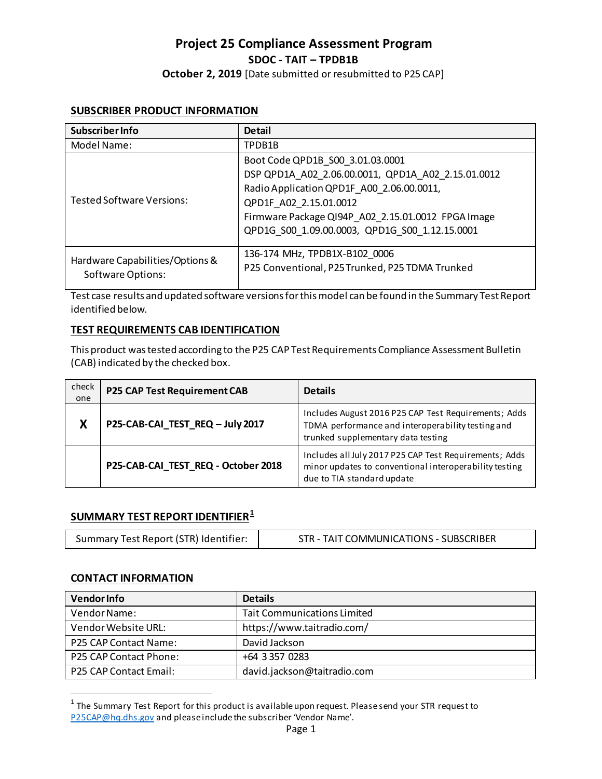# **Project 25 Compliance Assessment Program SDOC - TAIT – TPDB1B**

**October 2, 2019** [Date submitted or resubmitted to P25 CAP]

#### **SUBSCRIBER PRODUCT INFORMATION**

| Subscriber Info                                             | <b>Detail</b>                                      |
|-------------------------------------------------------------|----------------------------------------------------|
| Model Name:                                                 | TPDB1B                                             |
| <b>Tested Software Versions:</b>                            | Boot Code QPD1B S00 3.01.03.0001                   |
|                                                             | DSP QPD1A A02 2.06.00.0011, QPD1A A02 2.15.01.0012 |
|                                                             | Radio Application QPD1F_A00_2.06.00.0011,          |
|                                                             | QPD1F A02 2.15.01.0012                             |
|                                                             | Firmware Package QI94P A02 2.15.01.0012 FPGA Image |
|                                                             | QPD1G_S00_1.09.00.0003, QPD1G_S00_1.12.15.0001     |
|                                                             |                                                    |
| Hardware Capabilities/Options &<br><b>Software Options:</b> | 136-174 MHz, TPDB1X-B102 0006                      |
|                                                             | P25 Conventional, P25 Trunked, P25 TDMA Trunked    |

Test case results and updated software versions for this model can be found in the Summary Test Report identified below.

# **TEST REQUIREMENTS CAB IDENTIFICATION**

This product was tested according to the P25 CAP Test Requirements Compliance Assessment Bulletin (CAB) indicated by the checked box.

| check<br>one | <b>P25 CAP Test Requirement CAB</b> | <b>Details</b>                                                                                                                                  |
|--------------|-------------------------------------|-------------------------------------------------------------------------------------------------------------------------------------------------|
| Χ            | P25-CAB-CAI_TEST_REQ - July 2017    | Includes August 2016 P25 CAP Test Requirements; Adds<br>TDMA performance and interoperability testing and<br>trunked supplementary data testing |
|              | P25-CAB-CAI_TEST_REQ - October 2018 | Includes all July 2017 P25 CAP Test Requirements; Adds<br>minor updates to conventional interoperability testing<br>due to TIA standard update  |

# **SUMMARY TEST REPORT IDENTIFIER[1](#page-0-0)**

| Summary Test Report (STR) Identifier: | STR - TAIT COMMUNICATIONS - SUBSCRIBER |
|---------------------------------------|----------------------------------------|
|---------------------------------------|----------------------------------------|

#### **CONTACT INFORMATION**

l

| <b>Vendor Info</b>     | <b>Details</b>                     |
|------------------------|------------------------------------|
| Vendor Name:           | <b>Tait Communications Limited</b> |
| Vendor Website URL:    | https://www.taitradio.com/         |
| P25 CAP Contact Name:  | David Jackson                      |
| P25 CAP Contact Phone: | +64 3 357 0283                     |
| P25 CAP Contact Email: | david.jackson@taitradio.com        |

<span id="page-0-0"></span> $1$  The Summary Test Report for this product is available upon request. Please send your STR request to [P25CAP@hq.dhs.gov](mailto:P25CAP@hq.dhs.gov) and please include the subscriber 'Vendor Name'.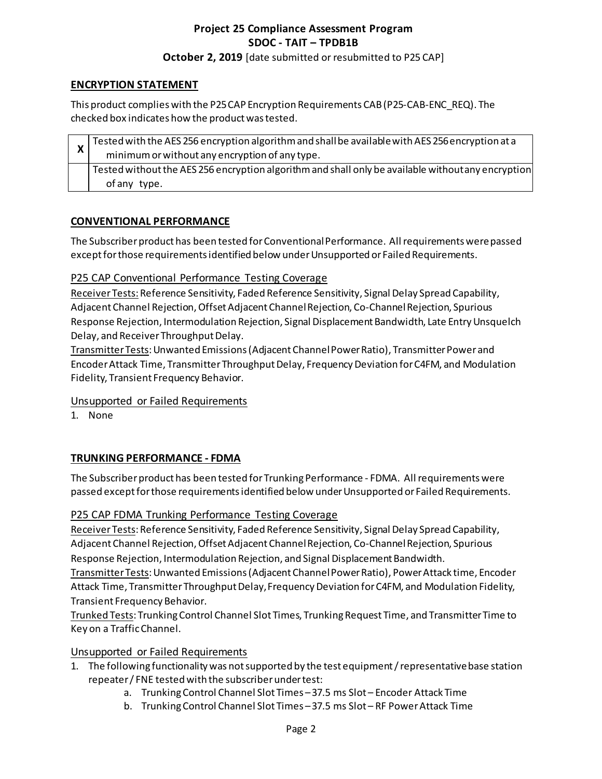# **Project 25 Compliance Assessment Program SDOC - TAIT – TPDB1B**

#### **October 2, 2019** [date submitted or resubmitted to P25 CAP]

# **ENCRYPTION STATEMENT**

This product complies with the P25 CAP Encryption Requirements CAB (P25-CAB-ENC\_REQ). The checked box indicates how the product was tested.

|  | Tested with the AES 256 encryption algorithm and shall be available with AES 256 encryption at a   |
|--|----------------------------------------------------------------------------------------------------|
|  | minimum or without any encryption of any type.                                                     |
|  | Tested without the AES 256 encryption algorithm and shall only be available without any encryption |
|  | of any type.                                                                                       |

#### **CONVENTIONAL PERFORMANCE**

The Subscriber product has been tested for Conventional Performance. All requirements were passed except for those requirementsidentified below under Unsupported or Failed Requirements.

# P25 CAP Conventional Performance Testing Coverage

Receiver Tests: Reference Sensitivity, Faded Reference Sensitivity, Signal Delay Spread Capability, Adjacent Channel Rejection, Offset Adjacent Channel Rejection, Co-Channel Rejection, Spurious Response Rejection, Intermodulation Rejection, Signal Displacement Bandwidth, Late Entry Unsquelch Delay, and Receiver Throughput Delay.

Transmitter Tests: Unwanted Emissions (Adjacent Channel Power Ratio), Transmitter Power and Encoder Attack Time, Transmitter Throughput Delay, Frequency Deviation for C4FM, and Modulation Fidelity, Transient Frequency Behavior.

# Unsupported or Failed Requirements

1. None

# **TRUNKING PERFORMANCE - FDMA**

The Subscriber product has been tested for Trunking Performance - FDMA. All requirements were passed except for those requirementsidentified below under Unsupported or Failed Requirements.

# P25 CAP FDMA Trunking Performance Testing Coverage

Receiver Tests: Reference Sensitivity, Faded Reference Sensitivity, Signal Delay Spread Capability, Adjacent Channel Rejection, Offset Adjacent Channel Rejection, Co-Channel Rejection, Spurious Response Rejection, Intermodulation Rejection, and Signal Displacement Bandwidth.

Transmitter Tests: Unwanted Emissions (Adjacent Channel Power Ratio), Power Attack time, Encoder Attack Time, Transmitter Throughput Delay, Frequency Deviation for C4FM, and Modulation Fidelity, Transient Frequency Behavior.

Trunked Tests: Trunking Control Channel Slot Times, Trunking Request Time, and Transmitter Time to Key on a Traffic Channel.

# Unsupported or Failed Requirements

- 1. The following functionality was not supported by the test equipment / representative base station repeater / FNE tested with the subscriber under test:
	- a. Trunking Control Channel Slot Times 37.5 ms Slot Encoder Attack Time
	- b. Trunking Control Channel Slot Times 37.5 ms Slot RF Power Attack Time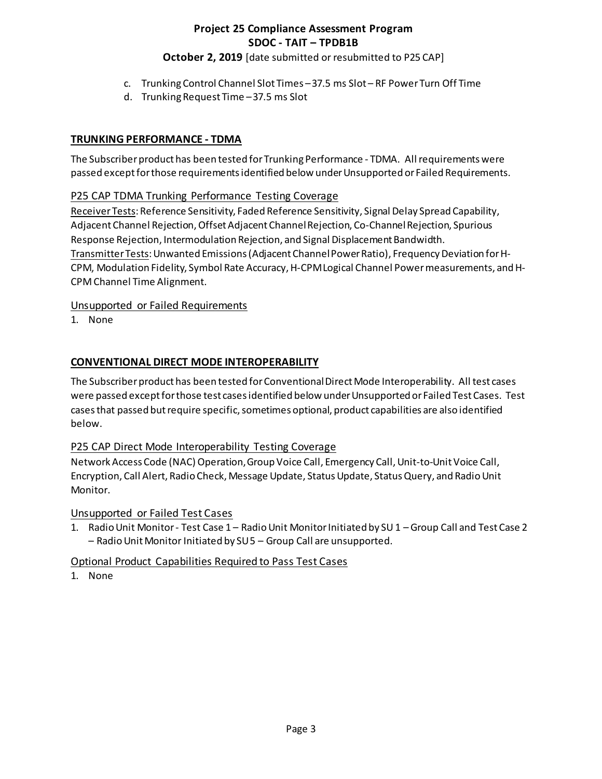# **Project 25 Compliance Assessment Program SDOC - TAIT – TPDB1B**

# **October 2, 2019** [date submitted or resubmitted to P25 CAP]

- c. Trunking Control Channel Slot Times 37.5 ms Slot RF Power Turn Off Time
- d. Trunking Request Time 37.5 ms Slot

#### **TRUNKING PERFORMANCE - TDMA**

The Subscriber product has been tested for Trunking Performance - TDMA. All requirements were passed except for those requirementsidentified below under Unsupported or Failed Requirements.

# P25 CAP TDMA Trunking Performance Testing Coverage

Receiver Tests: Reference Sensitivity, Faded Reference Sensitivity, Signal Delay Spread Capability, Adjacent Channel Rejection, Offset Adjacent Channel Rejection, Co-Channel Rejection, Spurious Response Rejection, Intermodulation Rejection, and Signal Displacement Bandwidth. Transmitter Tests: Unwanted Emissions (Adjacent Channel Power Ratio), Frequency Deviation for H-CPM, Modulation Fidelity, Symbol Rate Accuracy, H-CPM Logical Channel Power measurements, and H-CPM Channel Time Alignment.

#### Unsupported or Failed Requirements

1. None

# **CONVENTIONAL DIRECT MODE INTEROPERABILITY**

The Subscriber product has been tested for Conventional Direct Mode Interoperability. All test cases were passed except for those test cases identified below under Unsupported or Failed Test Cases. Test cases that passed but require specific, sometimes optional, product capabilities are also identified below.

# P25 CAP Direct Mode Interoperability Testing Coverage

Network Access Code (NAC) Operation, Group Voice Call, Emergency Call, Unit-to-Unit Voice Call, Encryption, Call Alert, Radio Check, Message Update, Status Update, Status Query, and Radio Unit Monitor.

#### Unsupported or Failed Test Cases

1. Radio Unit Monitor - Test Case 1 – Radio Unit Monitor Initiated by SU 1 – Group Call and Test Case 2 – Radio Unit Monitor Initiated by SU 5 – Group Call are unsupported.

# Optional Product Capabilities Required to Pass Test Cases

1. None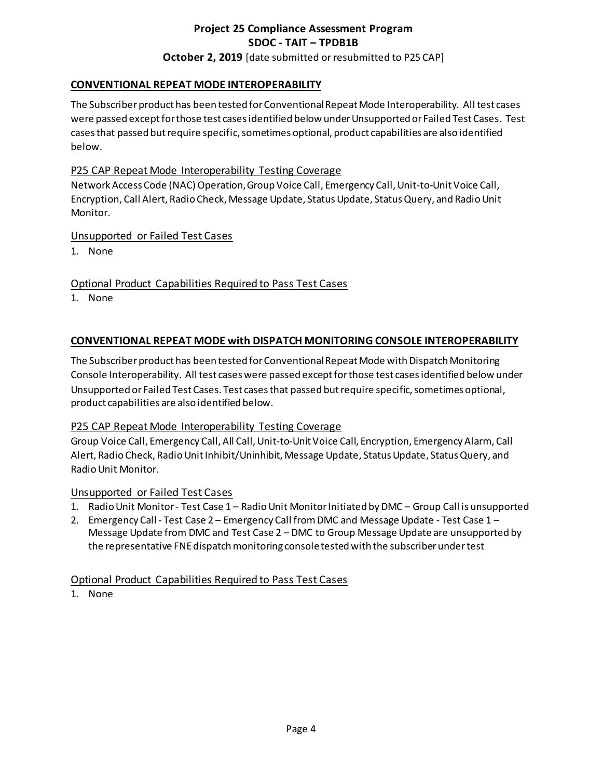# **Project 25 Compliance Assessment Program SDOC - TAIT – TPDB1B October 2, 2019** [date submitted or resubmitted to P25 CAP]

#### **CONVENTIONAL REPEAT MODE INTEROPERABILITY**

The Subscriber product has been tested for Conventional Repeat Mode Interoperability. All test cases were passed except for those test cases identified below under Unsupported or Failed Test Cases. Test cases that passed but require specific, sometimes optional, product capabilities are also identified below.

#### P25 CAP Repeat Mode Interoperability Testing Coverage

Network Access Code (NAC) Operation, Group Voice Call, Emergency Call, Unit-to-Unit Voice Call, Encryption, Call Alert, Radio Check, Message Update, Status Update, Status Query, and Radio Unit Monitor.

#### Unsupported or Failed Test Cases

1. None

Optional Product Capabilities Required to Pass Test Cases

1. None

#### **CONVENTIONAL REPEAT MODE with DISPATCH MONITORING CONSOLE INTEROPERABILITY**

The Subscriber product has been tested for Conventional Repeat Mode with Dispatch Monitoring Console Interoperability. All test cases were passed except for those test cases identified below under Unsupported or Failed Test Cases. Test cases that passed but require specific, sometimes optional, product capabilities are also identified below.

#### P25 CAP Repeat Mode Interoperability Testing Coverage

Group Voice Call, Emergency Call, All Call, Unit-to-UnitVoice Call, Encryption, Emergency Alarm, Call Alert, Radio Check, Radio Unit Inhibit/Uninhibit, Message Update, Status Update, Status Query, and Radio Unit Monitor.

#### Unsupported or Failed Test Cases

- 1. Radio Unit Monitor Test Case 1 Radio Unit Monitor Initiated by DMC Group Call is unsupported
- 2. Emergency Call Test Case 2 Emergency Call from DMC and Message Update Test Case 1 Message Update from DMC and Test Case 2 – DMC to Group Message Update are unsupported by the representative FNE dispatch monitoring console tested with the subscriber under test

# Optional Product Capabilities Required to Pass Test Cases

1. None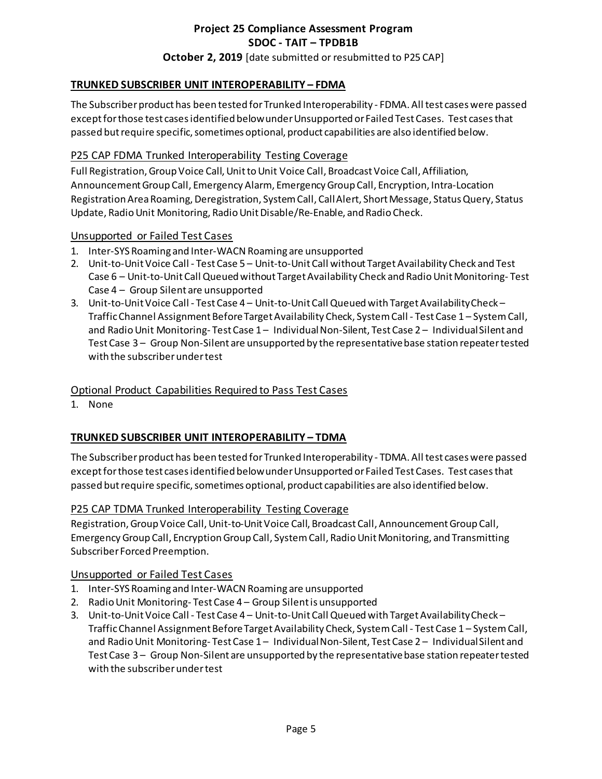# **Project 25 Compliance Assessment Program SDOC - TAIT – TPDB1B October 2, 2019** [date submitted or resubmitted to P25 CAP]

# **TRUNKED SUBSCRIBER UNIT INTEROPERABILITY – FDMA**

The Subscriber product has been tested for Trunked Interoperability - FDMA. All test cases were passed except for those test cases identified below under Unsupported or Failed Test Cases. Test cases that passed but require specific, sometimes optional, product capabilities are also identified below.

#### P25 CAP FDMA Trunked Interoperability Testing Coverage

Full Registration, Group Voice Call, Unit to Unit Voice Call, Broadcast Voice Call, Affiliation, Announcement Group Call, Emergency Alarm, Emergency Group Call, Encryption, Intra-Location Registration Area Roaming, Deregistration, System Call, Call Alert, Short Message, Status Query, Status Update, Radio Unit Monitoring, Radio Unit Disable/Re-Enable, and Radio Check.

#### Unsupported or Failed Test Cases

- 1. Inter-SYS Roaming and Inter-WACN Roaming are unsupported
- 2. Unit-to-Unit Voice Call Test Case 5 Unit-to-Unit Call without Target Availability Check and Test Case 6 – Unit-to-Unit Call Queued without Target Availability Check and Radio Unit Monitoring- Test Case 4 – Group Silent are unsupported
- 3. Unit-to-Unit Voice Call Test Case 4 Unit-to-Unit Call Queued with Target Availability Check Traffic Channel Assignment Before Target Availability Check, System Call - Test Case 1 – System Call, and Radio Unit Monitoring- Test Case 1 – Individual Non-Silent, Test Case 2 – Individual Silent and Test Case 3 – Group Non-Silent are unsupported by the representative base station repeater tested with the subscriber under test

# Optional Product Capabilities Required to Pass Test Cases

1. None

# **TRUNKED SUBSCRIBER UNIT INTEROPERABILITY – TDMA**

The Subscriber product has been tested for Trunked Interoperability - TDMA. All test cases were passed except for those test cases identified below under Unsupported or Failed Test Cases. Test cases that passed but require specific, sometimes optional, product capabilities are also identified below.

#### P25 CAP TDMA Trunked Interoperability Testing Coverage

Registration, Group Voice Call, Unit-to-Unit Voice Call, Broadcast Call, Announcement Group Call, Emergency Group Call, Encryption Group Call, System Call, Radio Unit Monitoring, and Transmitting Subscriber Forced Preemption.

#### Unsupported or Failed Test Cases

- 1. Inter-SYS Roaming and Inter-WACN Roaming are unsupported
- 2. Radio Unit Monitoring- Test Case 4 Group Silentis unsupported
- 3. Unit-to-Unit Voice Call Test Case 4 Unit-to-Unit Call Queued with Target Availability Check Traffic Channel Assignment Before Target Availability Check, System Call - Test Case 1 – System Call, and Radio Unit Monitoring- Test Case 1 – Individual Non-Silent, Test Case 2 – IndividualSilent and Test Case 3 – Group Non-Silent are unsupported by the representative base station repeater tested with the subscriber under test